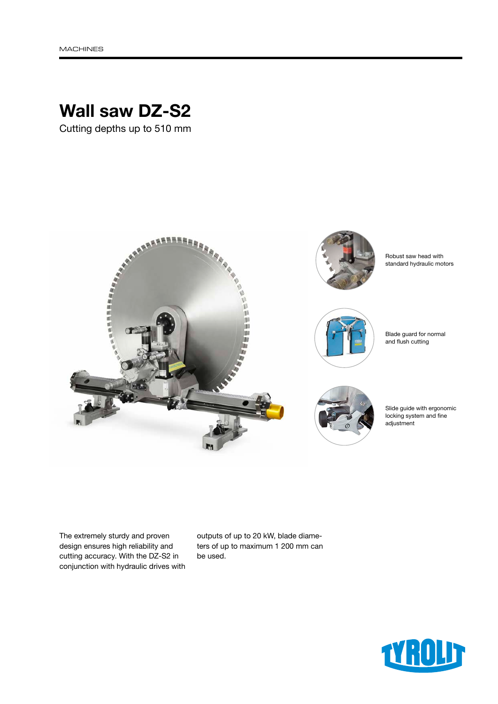# Wall saw DZ-S2

Cutting depths up to 510 mm



The extremely sturdy and proven design ensures high reliability and cutting accuracy. With the DZ-S2 in conjunction with hydraulic drives with outputs of up to 20 kW, blade diameters of up to maximum 1 200 mm can be used.